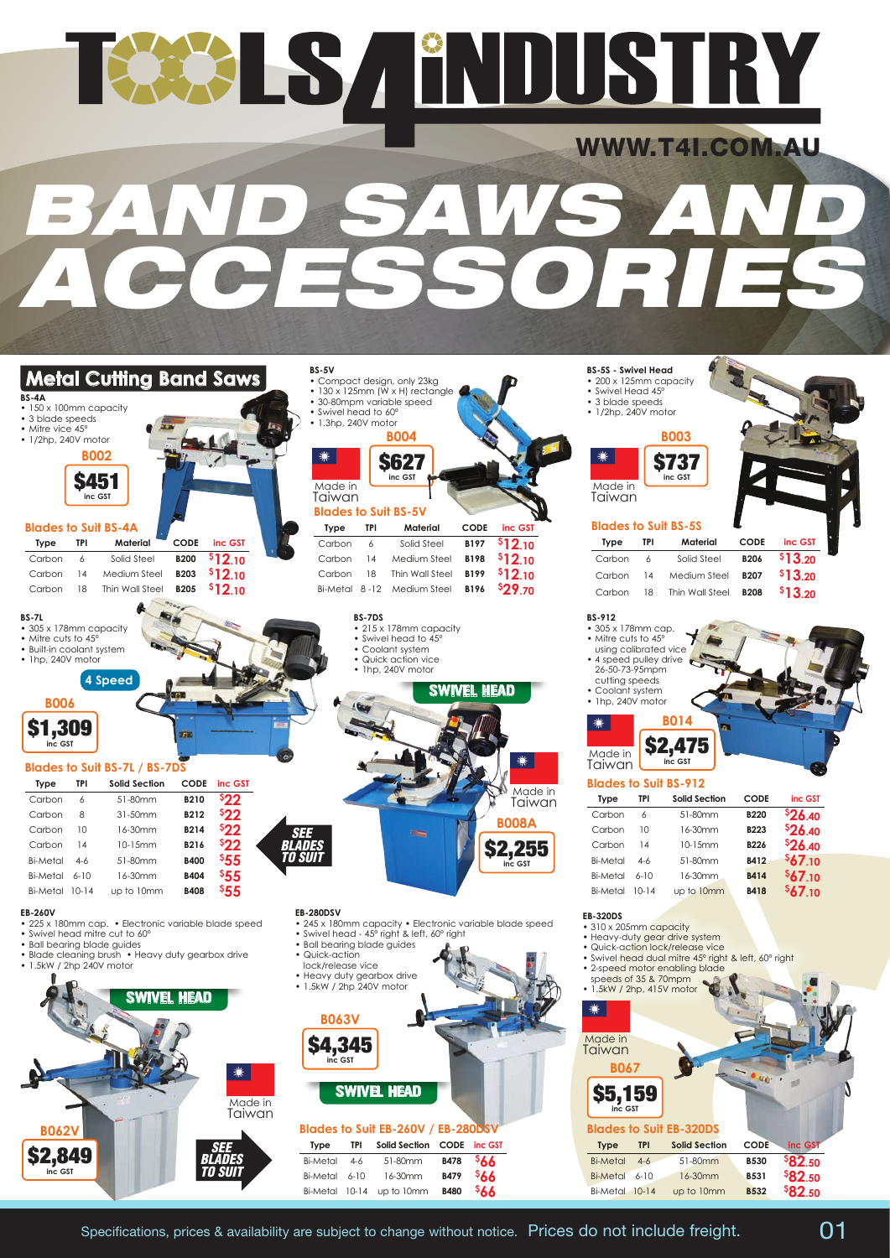## TEER IS A ENDUSTRY WWW.T4I.COM.AU *BAND SAWS AND ACCESSORIES*